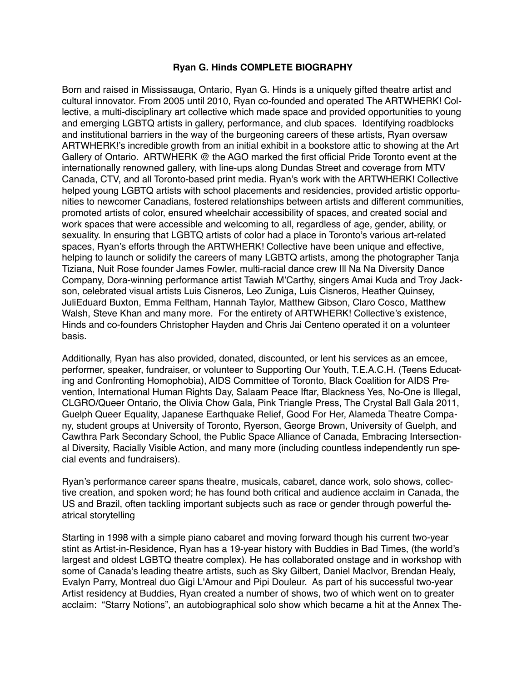## **Ryan G. Hinds COMPLETE BIOGRAPHY**

Born and raised in Mississauga, Ontario, Ryan G. Hinds is a uniquely gifted theatre artist and cultural innovator. From 2005 until 2010, Ryan co-founded and operated The ARTWHERK! Collective, a multi-disciplinary art collective which made space and provided opportunities to young and emerging LGBTQ artists in gallery, performance, and club spaces. Identifying roadblocks and institutional barriers in the way of the burgeoning careers of these artists, Ryan oversaw ARTWHERK!'s incredible growth from an initial exhibit in a bookstore attic to showing at the Art Gallery of Ontario. ARTWHERK @ the AGO marked the first official Pride Toronto event at the internationally renowned gallery, with line-ups along Dundas Street and coverage from MTV Canada, CTV, and all Toronto-based print media. Ryan's work with the ARTWHERK! Collective helped young LGBTQ artists with school placements and residencies, provided artistic opportunities to newcomer Canadians, fostered relationships between artists and different communities, promoted artists of color, ensured wheelchair accessibility of spaces, and created social and work spaces that were accessible and welcoming to all, regardless of age, gender, ability, or sexuality. In ensuring that LGBTQ artists of color had a place in Toronto's various art-related spaces, Ryan's efforts through the ARTWHERK! Collective have been unique and effective, helping to launch or solidify the careers of many LGBTQ artists, among the photographer Tanja Tiziana, Nuit Rose founder James Fowler, multi-racial dance crew Ill Na Na Diversity Dance Company, Dora-winning performance artist Tawiah M'Carthy, singers Amai Kuda and Troy Jackson, celebrated visual artists Luis Cisneros, Leo Zuniga, Luis Cisneros, Heather Quinsey, JuliEduard Buxton, Emma Feltham, Hannah Taylor, Matthew Gibson, Claro Cosco, Matthew Walsh, Steve Khan and many more. For the entirety of ARTWHERK! Collective's existence, Hinds and co-founders Christopher Hayden and Chris Jai Centeno operated it on a volunteer basis.

Additionally, Ryan has also provided, donated, discounted, or lent his services as an emcee, performer, speaker, fundraiser, or volunteer to Supporting Our Youth, T.E.A.C.H. (Teens Educating and Confronting Homophobia), AIDS Committee of Toronto, Black Coalition for AIDS Prevention, International Human Rights Day, Salaam Peace Iftar, Blackness Yes, No-One is Illegal, CLGRO/Queer Ontario, the Olivia Chow Gala, Pink Triangle Press, The Crystal Ball Gala 2011, Guelph Queer Equality, Japanese Earthquake Relief, Good For Her, Alameda Theatre Company, student groups at University of Toronto, Ryerson, George Brown, University of Guelph, and Cawthra Park Secondary School, the Public Space Alliance of Canada, Embracing Intersectional Diversity, Racially Visible Action, and many more (including countless independently run special events and fundraisers).

Ryan's performance career spans theatre, musicals, cabaret, dance work, solo shows, collective creation, and spoken word; he has found both critical and audience acclaim in Canada, the US and Brazil, often tackling important subjects such as race or gender through powerful theatrical storytelling

Starting in 1998 with a simple piano cabaret and moving forward though his current two-year stint as Artist-in-Residence, Ryan has a 19-year history with Buddies in Bad Times, (the world's largest and oldest LGBTQ theatre complex). He has collaborated onstage and in workshop with some of Canada's leading theatre artists, such as Sky Gilbert, Daniel MacIvor, Brendan Healy, Evalyn Parry, Montreal duo Gigi L'Amour and Pipi Douleur. As part of his successful two-year Artist residency at Buddies, Ryan created a number of shows, two of which went on to greater acclaim: "Starry Notions", an autobiographical solo show which became a hit at the Annex The